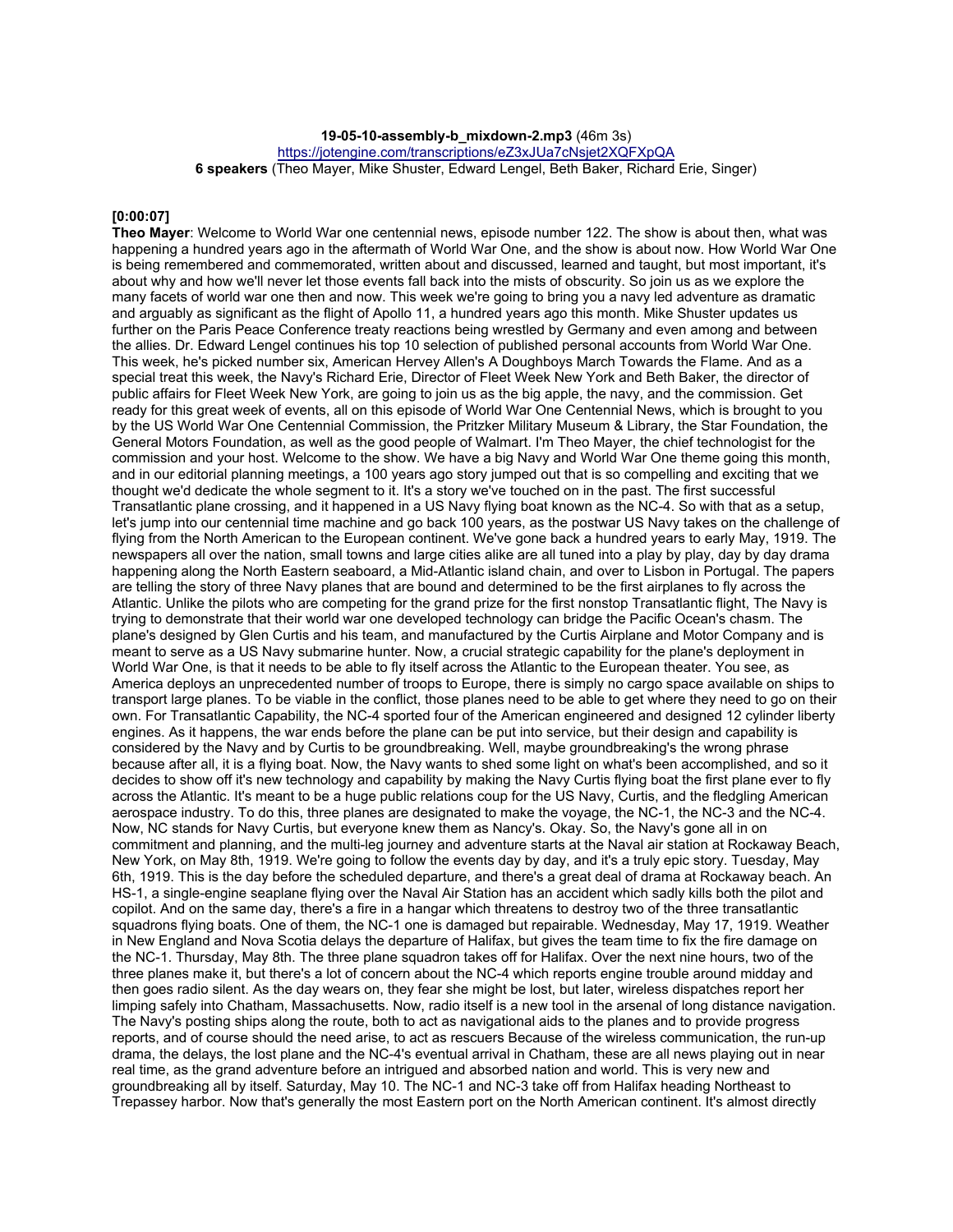**19-05-10-assembly-b\_mixdown-2.mp3** (46m 3s)

https://jotengine.com/transcriptions/eZ3xJUa7cNsjet2XQFXpQA

**6 speakers** (Theo Mayer, Mike Shuster, Edward Lengel, Beth Baker, Richard Erie, Singer)

#### **[0:00:07]**

**Theo Mayer**: Welcome to World War one centennial news, episode number 122. The show is about then, what was happening a hundred years ago in the aftermath of World War One, and the show is about now. How World War One is being remembered and commemorated, written about and discussed, learned and taught, but most important, it's about why and how we'll never let those events fall back into the mists of obscurity. So join us as we explore the many facets of world war one then and now. This week we're going to bring you a navy led adventure as dramatic and arguably as significant as the flight of Apollo 11, a hundred years ago this month. Mike Shuster updates us further on the Paris Peace Conference treaty reactions being wrestled by Germany and even among and between the allies. Dr. Edward Lengel continues his top 10 selection of published personal accounts from World War One. This week, he's picked number six, American Hervey Allen's A Doughboys March Towards the Flame. And as a special treat this week, the Navy's Richard Erie, Director of Fleet Week New York and Beth Baker, the director of public affairs for Fleet Week New York, are going to join us as the big apple, the navy, and the commission. Get ready for this great week of events, all on this episode of World War One Centennial News, which is brought to you by the US World War One Centennial Commission, the Pritzker Military Museum & Library, the Star Foundation, the General Motors Foundation, as well as the good people of Walmart. I'm Theo Mayer, the chief technologist for the commission and your host. Welcome to the show. We have a big Navy and World War One theme going this month, and in our editorial planning meetings, a 100 years ago story jumped out that is so compelling and exciting that we thought we'd dedicate the whole segment to it. It's a story we've touched on in the past. The first successful Transatlantic plane crossing, and it happened in a US Navy flying boat known as the NC-4. So with that as a setup, let's jump into our centennial time machine and go back 100 years, as the postwar US Navy takes on the challenge of flying from the North American to the European continent. We've gone back a hundred years to early May, 1919. The newspapers all over the nation, small towns and large cities alike are all tuned into a play by play, day by day drama happening along the North Eastern seaboard, a Mid-Atlantic island chain, and over to Lisbon in Portugal. The papers are telling the story of three Navy planes that are bound and determined to be the first airplanes to fly across the Atlantic. Unlike the pilots who are competing for the grand prize for the first nonstop Transatlantic flight, The Navy is trying to demonstrate that their world war one developed technology can bridge the Pacific Ocean's chasm. The plane's designed by Glen Curtis and his team, and manufactured by the Curtis Airplane and Motor Company and is meant to serve as a US Navy submarine hunter. Now, a crucial strategic capability for the plane's deployment in World War One, is that it needs to be able to fly itself across the Atlantic to the European theater. You see, as America deploys an unprecedented number of troops to Europe, there is simply no cargo space available on ships to transport large planes. To be viable in the conflict, those planes need to be able to get where they need to go on their own. For Transatlantic Capability, the NC-4 sported four of the American engineered and designed 12 cylinder liberty engines. As it happens, the war ends before the plane can be put into service, but their design and capability is considered by the Navy and by Curtis to be groundbreaking. Well, maybe groundbreaking's the wrong phrase because after all, it is a flying boat. Now, the Navy wants to shed some light on what's been accomplished, and so it decides to show off it's new technology and capability by making the Navy Curtis flying boat the first plane ever to fly across the Atlantic. It's meant to be a huge public relations coup for the US Navy, Curtis, and the fledgling American aerospace industry. To do this, three planes are designated to make the voyage, the NC-1, the NC-3 and the NC-4. Now, NC stands for Navy Curtis, but everyone knew them as Nancy's. Okay. So, the Navy's gone all in on commitment and planning, and the multi-leg journey and adventure starts at the Naval air station at Rockaway Beach, New York, on May 8th, 1919. We're going to follow the events day by day, and it's a truly epic story. Tuesday, May 6th, 1919. This is the day before the scheduled departure, and there's a great deal of drama at Rockaway beach. An HS-1, a single-engine seaplane flying over the Naval Air Station has an accident which sadly kills both the pilot and copilot. And on the same day, there's a fire in a hangar which threatens to destroy two of the three transatlantic squadrons flying boats. One of them, the NC-1 one is damaged but repairable. Wednesday, May 17, 1919. Weather in New England and Nova Scotia delays the departure of Halifax, but gives the team time to fix the fire damage on the NC-1. Thursday, May 8th. The three plane squadron takes off for Halifax. Over the next nine hours, two of the three planes make it, but there's a lot of concern about the NC-4 which reports engine trouble around midday and then goes radio silent. As the day wears on, they fear she might be lost, but later, wireless dispatches report her limping safely into Chatham, Massachusetts. Now, radio itself is a new tool in the arsenal of long distance navigation. The Navy's posting ships along the route, both to act as navigational aids to the planes and to provide progress reports, and of course should the need arise, to act as rescuers Because of the wireless communication, the run-up drama, the delays, the lost plane and the NC-4's eventual arrival in Chatham, these are all news playing out in near real time, as the grand adventure before an intrigued and absorbed nation and world. This is very new and groundbreaking all by itself. Saturday, May 10. The NC-1 and NC-3 take off from Halifax heading Northeast to Trepassey harbor. Now that's generally the most Eastern port on the North American continent. It's almost directly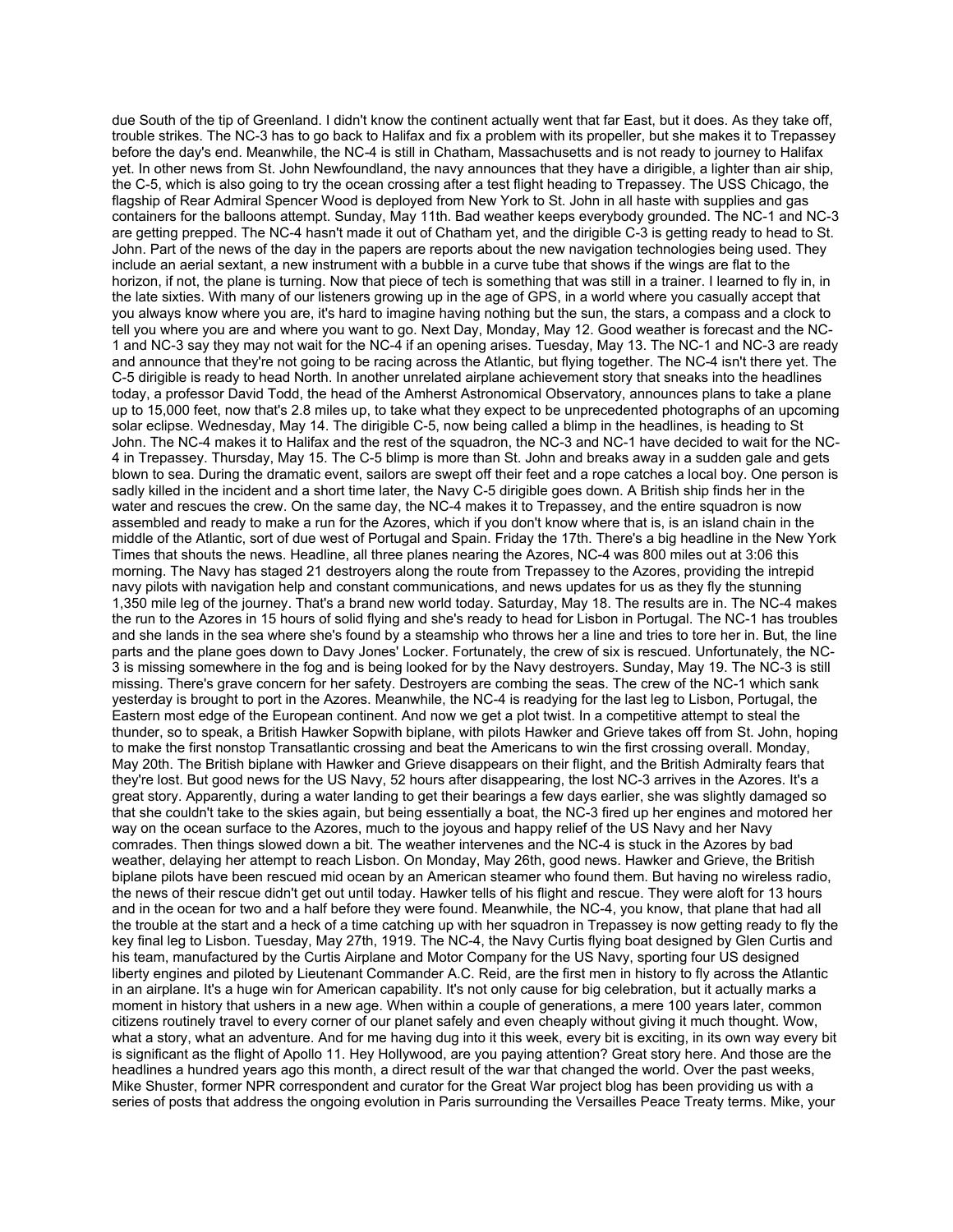due South of the tip of Greenland. I didn't know the continent actually went that far East, but it does. As they take off, trouble strikes. The NC-3 has to go back to Halifax and fix a problem with its propeller, but she makes it to Trepassey before the day's end. Meanwhile, the NC-4 is still in Chatham, Massachusetts and is not ready to journey to Halifax yet. In other news from St. John Newfoundland, the navy announces that they have a dirigible, a lighter than air ship, the C-5, which is also going to try the ocean crossing after a test flight heading to Trepassey. The USS Chicago, the flagship of Rear Admiral Spencer Wood is deployed from New York to St. John in all haste with supplies and gas containers for the balloons attempt. Sunday, May 11th. Bad weather keeps everybody grounded. The NC-1 and NC-3 are getting prepped. The NC-4 hasn't made it out of Chatham yet, and the dirigible C-3 is getting ready to head to St. John. Part of the news of the day in the papers are reports about the new navigation technologies being used. They include an aerial sextant, a new instrument with a bubble in a curve tube that shows if the wings are flat to the horizon, if not, the plane is turning. Now that piece of tech is something that was still in a trainer. I learned to fly in, in the late sixties. With many of our listeners growing up in the age of GPS, in a world where you casually accept that you always know where you are, it's hard to imagine having nothing but the sun, the stars, a compass and a clock to tell you where you are and where you want to go. Next Day, Monday, May 12. Good weather is forecast and the NC-1 and NC-3 say they may not wait for the NC-4 if an opening arises. Tuesday, May 13. The NC-1 and NC-3 are ready and announce that they're not going to be racing across the Atlantic, but flying together. The NC-4 isn't there yet. The C-5 dirigible is ready to head North. In another unrelated airplane achievement story that sneaks into the headlines today, a professor David Todd, the head of the Amherst Astronomical Observatory, announces plans to take a plane up to 15,000 feet, now that's 2.8 miles up, to take what they expect to be unprecedented photographs of an upcoming solar eclipse. Wednesday, May 14. The dirigible C-5, now being called a blimp in the headlines, is heading to St John. The NC-4 makes it to Halifax and the rest of the squadron, the NC-3 and NC-1 have decided to wait for the NC-4 in Trepassey. Thursday, May 15. The C-5 blimp is more than St. John and breaks away in a sudden gale and gets blown to sea. During the dramatic event, sailors are swept off their feet and a rope catches a local boy. One person is sadly killed in the incident and a short time later, the Navy C-5 dirigible goes down. A British ship finds her in the water and rescues the crew. On the same day, the NC-4 makes it to Trepassey, and the entire squadron is now assembled and ready to make a run for the Azores, which if you don't know where that is, is an island chain in the middle of the Atlantic, sort of due west of Portugal and Spain. Friday the 17th. There's a big headline in the New York Times that shouts the news. Headline, all three planes nearing the Azores, NC-4 was 800 miles out at 3:06 this morning. The Navy has staged 21 destroyers along the route from Trepassey to the Azores, providing the intrepid navy pilots with navigation help and constant communications, and news updates for us as they fly the stunning 1,350 mile leg of the journey. That's a brand new world today. Saturday, May 18. The results are in. The NC-4 makes the run to the Azores in 15 hours of solid flying and she's ready to head for Lisbon in Portugal. The NC-1 has troubles and she lands in the sea where she's found by a steamship who throws her a line and tries to tore her in. But, the line parts and the plane goes down to Davy Jones' Locker. Fortunately, the crew of six is rescued. Unfortunately, the NC-3 is missing somewhere in the fog and is being looked for by the Navy destroyers. Sunday, May 19. The NC-3 is still missing. There's grave concern for her safety. Destroyers are combing the seas. The crew of the NC-1 which sank yesterday is brought to port in the Azores. Meanwhile, the NC-4 is readying for the last leg to Lisbon, Portugal, the Eastern most edge of the European continent. And now we get a plot twist. In a competitive attempt to steal the thunder, so to speak, a British Hawker Sopwith biplane, with pilots Hawker and Grieve takes off from St. John, hoping to make the first nonstop Transatlantic crossing and beat the Americans to win the first crossing overall. Monday, May 20th. The British biplane with Hawker and Grieve disappears on their flight, and the British Admiralty fears that they're lost. But good news for the US Navy, 52 hours after disappearing, the lost NC-3 arrives in the Azores. It's a great story. Apparently, during a water landing to get their bearings a few days earlier, she was slightly damaged so that she couldn't take to the skies again, but being essentially a boat, the NC-3 fired up her engines and motored her way on the ocean surface to the Azores, much to the joyous and happy relief of the US Navy and her Navy comrades. Then things slowed down a bit. The weather intervenes and the NC-4 is stuck in the Azores by bad weather, delaying her attempt to reach Lisbon. On Monday, May 26th, good news. Hawker and Grieve, the British biplane pilots have been rescued mid ocean by an American steamer who found them. But having no wireless radio, the news of their rescue didn't get out until today. Hawker tells of his flight and rescue. They were aloft for 13 hours and in the ocean for two and a half before they were found. Meanwhile, the NC-4, you know, that plane that had all the trouble at the start and a heck of a time catching up with her squadron in Trepassey is now getting ready to fly the key final leg to Lisbon. Tuesday, May 27th, 1919. The NC-4, the Navy Curtis flying boat designed by Glen Curtis and his team, manufactured by the Curtis Airplane and Motor Company for the US Navy, sporting four US designed liberty engines and piloted by Lieutenant Commander A.C. Reid, are the first men in history to fly across the Atlantic in an airplane. It's a huge win for American capability. It's not only cause for big celebration, but it actually marks a moment in history that ushers in a new age. When within a couple of generations, a mere 100 years later, common citizens routinely travel to every corner of our planet safely and even cheaply without giving it much thought. Wow, what a story, what an adventure. And for me having dug into it this week, every bit is exciting, in its own way every bit is significant as the flight of Apollo 11. Hey Hollywood, are you paying attention? Great story here. And those are the headlines a hundred years ago this month, a direct result of the war that changed the world. Over the past weeks, Mike Shuster, former NPR correspondent and curator for the Great War project blog has been providing us with a series of posts that address the ongoing evolution in Paris surrounding the Versailles Peace Treaty terms. Mike, your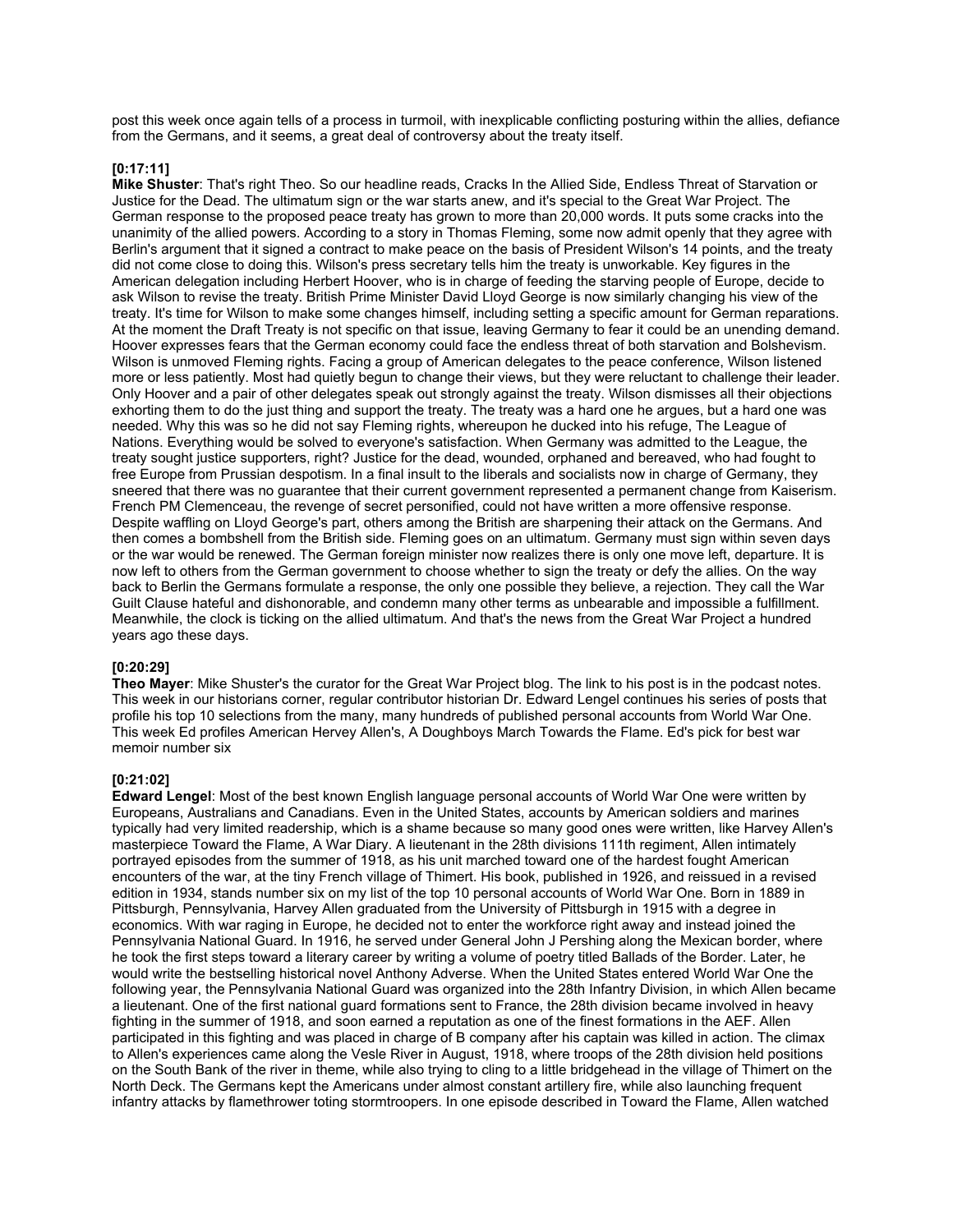post this week once again tells of a process in turmoil, with inexplicable conflicting posturing within the allies, defiance from the Germans, and it seems, a great deal of controversy about the treaty itself.

### **[0:17:11]**

**Mike Shuster**: That's right Theo. So our headline reads, Cracks In the Allied Side, Endless Threat of Starvation or Justice for the Dead. The ultimatum sign or the war starts anew, and it's special to the Great War Project. The German response to the proposed peace treaty has grown to more than 20,000 words. It puts some cracks into the unanimity of the allied powers. According to a story in Thomas Fleming, some now admit openly that they agree with Berlin's argument that it signed a contract to make peace on the basis of President Wilson's 14 points, and the treaty did not come close to doing this. Wilson's press secretary tells him the treaty is unworkable. Key figures in the American delegation including Herbert Hoover, who is in charge of feeding the starving people of Europe, decide to ask Wilson to revise the treaty. British Prime Minister David Lloyd George is now similarly changing his view of the treaty. It's time for Wilson to make some changes himself, including setting a specific amount for German reparations. At the moment the Draft Treaty is not specific on that issue, leaving Germany to fear it could be an unending demand. Hoover expresses fears that the German economy could face the endless threat of both starvation and Bolshevism. Wilson is unmoved Fleming rights. Facing a group of American delegates to the peace conference, Wilson listened more or less patiently. Most had quietly begun to change their views, but they were reluctant to challenge their leader. Only Hoover and a pair of other delegates speak out strongly against the treaty. Wilson dismisses all their objections exhorting them to do the just thing and support the treaty. The treaty was a hard one he argues, but a hard one was needed. Why this was so he did not say Fleming rights, whereupon he ducked into his refuge, The League of Nations. Everything would be solved to everyone's satisfaction. When Germany was admitted to the League, the treaty sought justice supporters, right? Justice for the dead, wounded, orphaned and bereaved, who had fought to free Europe from Prussian despotism. In a final insult to the liberals and socialists now in charge of Germany, they sneered that there was no guarantee that their current government represented a permanent change from Kaiserism. French PM Clemenceau, the revenge of secret personified, could not have written a more offensive response. Despite waffling on Lloyd George's part, others among the British are sharpening their attack on the Germans. And then comes a bombshell from the British side. Fleming goes on an ultimatum. Germany must sign within seven days or the war would be renewed. The German foreign minister now realizes there is only one move left, departure. It is now left to others from the German government to choose whether to sign the treaty or defy the allies. On the way back to Berlin the Germans formulate a response, the only one possible they believe, a rejection. They call the War Guilt Clause hateful and dishonorable, and condemn many other terms as unbearable and impossible a fulfillment. Meanwhile, the clock is ticking on the allied ultimatum. And that's the news from the Great War Project a hundred years ago these days.

# **[0:20:29]**

**Theo Mayer**: Mike Shuster's the curator for the Great War Project blog. The link to his post is in the podcast notes. This week in our historians corner, regular contributor historian Dr. Edward Lengel continues his series of posts that profile his top 10 selections from the many, many hundreds of published personal accounts from World War One. This week Ed profiles American Hervey Allen's, A Doughboys March Towards the Flame. Ed's pick for best war memoir number six

### **[0:21:02]**

**Edward Lengel**: Most of the best known English language personal accounts of World War One were written by Europeans, Australians and Canadians. Even in the United States, accounts by American soldiers and marines typically had very limited readership, which is a shame because so many good ones were written, like Harvey Allen's masterpiece Toward the Flame, A War Diary. A lieutenant in the 28th divisions 111th regiment, Allen intimately portrayed episodes from the summer of 1918, as his unit marched toward one of the hardest fought American encounters of the war, at the tiny French village of Thimert. His book, published in 1926, and reissued in a revised edition in 1934, stands number six on my list of the top 10 personal accounts of World War One. Born in 1889 in Pittsburgh, Pennsylvania, Harvey Allen graduated from the University of Pittsburgh in 1915 with a degree in economics. With war raging in Europe, he decided not to enter the workforce right away and instead joined the Pennsylvania National Guard. In 1916, he served under General John J Pershing along the Mexican border, where he took the first steps toward a literary career by writing a volume of poetry titled Ballads of the Border. Later, he would write the bestselling historical novel Anthony Adverse. When the United States entered World War One the following year, the Pennsylvania National Guard was organized into the 28th Infantry Division, in which Allen became a lieutenant. One of the first national guard formations sent to France, the 28th division became involved in heavy fighting in the summer of 1918, and soon earned a reputation as one of the finest formations in the AEF. Allen participated in this fighting and was placed in charge of B company after his captain was killed in action. The climax to Allen's experiences came along the Vesle River in August, 1918, where troops of the 28th division held positions on the South Bank of the river in theme, while also trying to cling to a little bridgehead in the village of Thimert on the North Deck. The Germans kept the Americans under almost constant artillery fire, while also launching frequent infantry attacks by flamethrower toting stormtroopers. In one episode described in Toward the Flame, Allen watched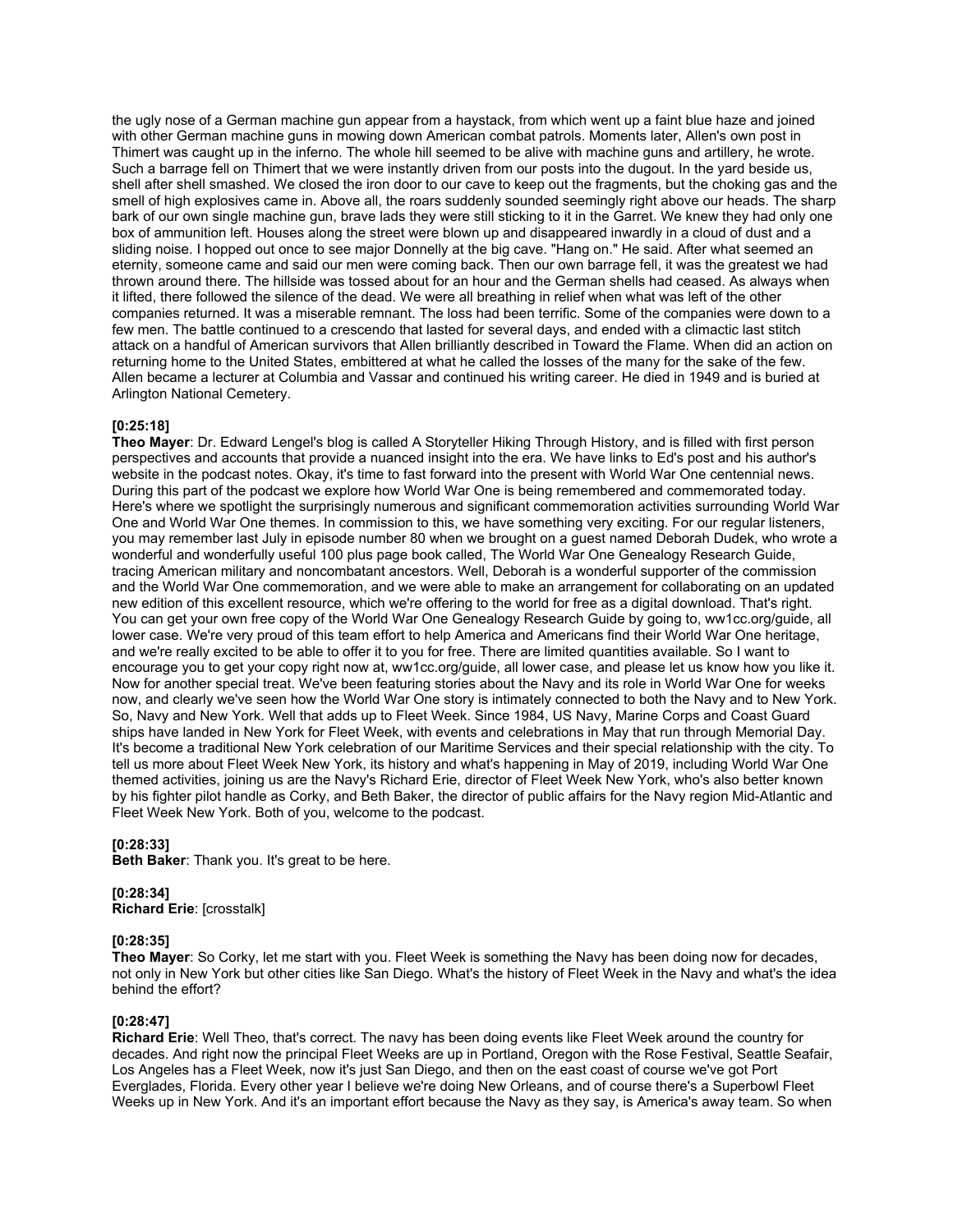the ugly nose of a German machine gun appear from a haystack, from which went up a faint blue haze and joined with other German machine guns in mowing down American combat patrols. Moments later, Allen's own post in Thimert was caught up in the inferno. The whole hill seemed to be alive with machine guns and artillery, he wrote. Such a barrage fell on Thimert that we were instantly driven from our posts into the dugout. In the yard beside us, shell after shell smashed. We closed the iron door to our cave to keep out the fragments, but the choking gas and the smell of high explosives came in. Above all, the roars suddenly sounded seemingly right above our heads. The sharp bark of our own single machine gun, brave lads they were still sticking to it in the Garret. We knew they had only one box of ammunition left. Houses along the street were blown up and disappeared inwardly in a cloud of dust and a sliding noise. I hopped out once to see major Donnelly at the big cave. "Hang on." He said. After what seemed an eternity, someone came and said our men were coming back. Then our own barrage fell, it was the greatest we had thrown around there. The hillside was tossed about for an hour and the German shells had ceased. As always when it lifted, there followed the silence of the dead. We were all breathing in relief when what was left of the other companies returned. It was a miserable remnant. The loss had been terrific. Some of the companies were down to a few men. The battle continued to a crescendo that lasted for several days, and ended with a climactic last stitch attack on a handful of American survivors that Allen brilliantly described in Toward the Flame. When did an action on returning home to the United States, embittered at what he called the losses of the many for the sake of the few. Allen became a lecturer at Columbia and Vassar and continued his writing career. He died in 1949 and is buried at Arlington National Cemetery.

### **[0:25:18]**

**Theo Mayer**: Dr. Edward Lengel's blog is called A Storyteller Hiking Through History, and is filled with first person perspectives and accounts that provide a nuanced insight into the era. We have links to Ed's post and his author's website in the podcast notes. Okay, it's time to fast forward into the present with World War One centennial news. During this part of the podcast we explore how World War One is being remembered and commemorated today. Here's where we spotlight the surprisingly numerous and significant commemoration activities surrounding World War One and World War One themes. In commission to this, we have something very exciting. For our regular listeners, you may remember last July in episode number 80 when we brought on a guest named Deborah Dudek, who wrote a wonderful and wonderfully useful 100 plus page book called. The World War One Genealogy Research Guide, tracing American military and noncombatant ancestors. Well, Deborah is a wonderful supporter of the commission and the World War One commemoration, and we were able to make an arrangement for collaborating on an updated new edition of this excellent resource, which we're offering to the world for free as a digital download. That's right. You can get your own free copy of the World War One Genealogy Research Guide by going to, ww1cc.org/guide, all lower case. We're very proud of this team effort to help America and Americans find their World War One heritage, and we're really excited to be able to offer it to you for free. There are limited quantities available. So I want to encourage you to get your copy right now at, ww1cc.org/guide, all lower case, and please let us know how you like it. Now for another special treat. We've been featuring stories about the Navy and its role in World War One for weeks now, and clearly we've seen how the World War One story is intimately connected to both the Navy and to New York. So, Navy and New York. Well that adds up to Fleet Week. Since 1984, US Navy, Marine Corps and Coast Guard ships have landed in New York for Fleet Week, with events and celebrations in May that run through Memorial Day. It's become a traditional New York celebration of our Maritime Services and their special relationship with the city. To tell us more about Fleet Week New York, its history and what's happening in May of 2019, including World War One themed activities, joining us are the Navy's Richard Erie, director of Fleet Week New York, who's also better known by his fighter pilot handle as Corky, and Beth Baker, the director of public affairs for the Navy region Mid-Atlantic and Fleet Week New York. Both of you, welcome to the podcast.

### **[0:28:33]**

**Beth Baker**: Thank you. It's great to be here.

#### **[0:28:34] Richard Erie**: [crosstalk]

### **[0:28:35]**

**Theo Mayer**: So Corky, let me start with you. Fleet Week is something the Navy has been doing now for decades, not only in New York but other cities like San Diego. What's the history of Fleet Week in the Navy and what's the idea behind the effort?

### **[0:28:47]**

**Richard Erie**: Well Theo, that's correct. The navy has been doing events like Fleet Week around the country for decades. And right now the principal Fleet Weeks are up in Portland, Oregon with the Rose Festival, Seattle Seafair, Los Angeles has a Fleet Week, now it's just San Diego, and then on the east coast of course we've got Port Everglades, Florida. Every other year I believe we're doing New Orleans, and of course there's a Superbowl Fleet Weeks up in New York. And it's an important effort because the Navy as they say, is America's away team. So when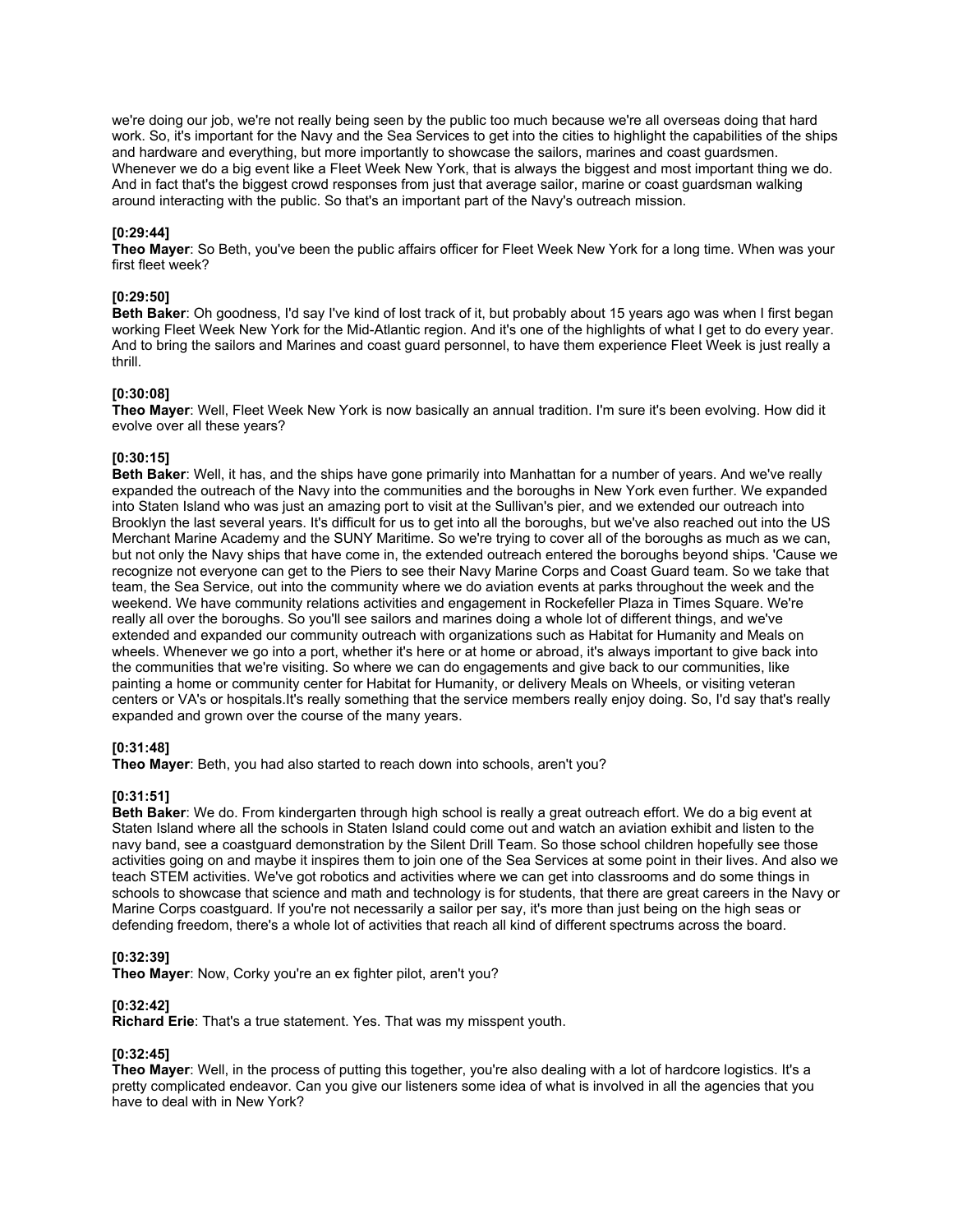we're doing our job, we're not really being seen by the public too much because we're all overseas doing that hard work. So, it's important for the Navy and the Sea Services to get into the cities to highlight the capabilities of the ships and hardware and everything, but more importantly to showcase the sailors, marines and coast guardsmen. Whenever we do a big event like a Fleet Week New York, that is always the biggest and most important thing we do. And in fact that's the biggest crowd responses from just that average sailor, marine or coast guardsman walking around interacting with the public. So that's an important part of the Navy's outreach mission.

### **[0:29:44]**

**Theo Mayer**: So Beth, you've been the public affairs officer for Fleet Week New York for a long time. When was your first fleet week?

### **[0:29:50]**

**Beth Baker**: Oh goodness, I'd say I've kind of lost track of it, but probably about 15 years ago was when I first began working Fleet Week New York for the Mid-Atlantic region. And it's one of the highlights of what I get to do every year. And to bring the sailors and Marines and coast guard personnel, to have them experience Fleet Week is just really a thrill.

### **[0:30:08]**

**Theo Mayer**: Well, Fleet Week New York is now basically an annual tradition. I'm sure it's been evolving. How did it evolve over all these years?

### **[0:30:15]**

**Beth Baker**: Well, it has, and the ships have gone primarily into Manhattan for a number of years. And we've really expanded the outreach of the Navy into the communities and the boroughs in New York even further. We expanded into Staten Island who was just an amazing port to visit at the Sullivan's pier, and we extended our outreach into Brooklyn the last several years. It's difficult for us to get into all the boroughs, but we've also reached out into the US Merchant Marine Academy and the SUNY Maritime. So we're trying to cover all of the boroughs as much as we can, but not only the Navy ships that have come in, the extended outreach entered the boroughs beyond ships. 'Cause we recognize not everyone can get to the Piers to see their Navy Marine Corps and Coast Guard team. So we take that team, the Sea Service, out into the community where we do aviation events at parks throughout the week and the weekend. We have community relations activities and engagement in Rockefeller Plaza in Times Square. We're really all over the boroughs. So you'll see sailors and marines doing a whole lot of different things, and we've extended and expanded our community outreach with organizations such as Habitat for Humanity and Meals on wheels. Whenever we go into a port, whether it's here or at home or abroad, it's always important to give back into the communities that we're visiting. So where we can do engagements and give back to our communities, like painting a home or community center for Habitat for Humanity, or delivery Meals on Wheels, or visiting veteran centers or VA's or hospitals.It's really something that the service members really enjoy doing. So, I'd say that's really expanded and grown over the course of the many years.

### **[0:31:48]**

**Theo Mayer**: Beth, you had also started to reach down into schools, aren't you?

# **[0:31:51]**

**Beth Baker**: We do. From kindergarten through high school is really a great outreach effort. We do a big event at Staten Island where all the schools in Staten Island could come out and watch an aviation exhibit and listen to the navy band, see a coastguard demonstration by the Silent Drill Team. So those school children hopefully see those activities going on and maybe it inspires them to join one of the Sea Services at some point in their lives. And also we teach STEM activities. We've got robotics and activities where we can get into classrooms and do some things in schools to showcase that science and math and technology is for students, that there are great careers in the Navy or Marine Corps coastguard. If you're not necessarily a sailor per say, it's more than just being on the high seas or defending freedom, there's a whole lot of activities that reach all kind of different spectrums across the board.

### **[0:32:39]**

**Theo Mayer**: Now, Corky you're an ex fighter pilot, aren't you?

# **[0:32:42]**

**Richard Erie**: That's a true statement. Yes. That was my misspent youth.

# **[0:32:45]**

**Theo Mayer**: Well, in the process of putting this together, you're also dealing with a lot of hardcore logistics. It's a pretty complicated endeavor. Can you give our listeners some idea of what is involved in all the agencies that you have to deal with in New York?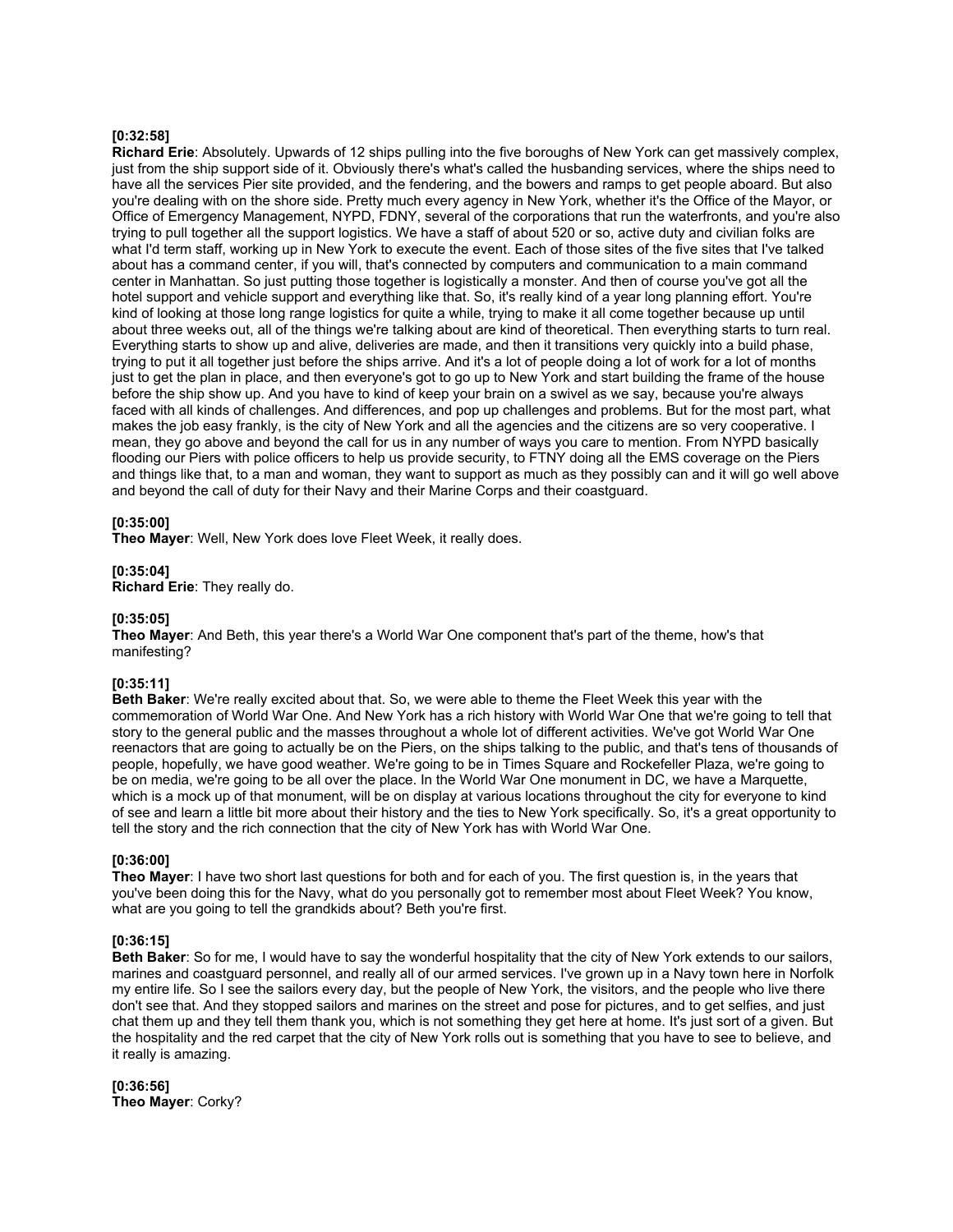### **[0:32:58]**

**Richard Erie**: Absolutely. Upwards of 12 ships pulling into the five boroughs of New York can get massively complex, just from the ship support side of it. Obviously there's what's called the husbanding services, where the ships need to have all the services Pier site provided, and the fendering, and the bowers and ramps to get people aboard. But also you're dealing with on the shore side. Pretty much every agency in New York, whether it's the Office of the Mayor, or Office of Emergency Management, NYPD, FDNY, several of the corporations that run the waterfronts, and you're also trying to pull together all the support logistics. We have a staff of about 520 or so, active duty and civilian folks are what I'd term staff, working up in New York to execute the event. Each of those sites of the five sites that I've talked about has a command center, if you will, that's connected by computers and communication to a main command center in Manhattan. So just putting those together is logistically a monster. And then of course you've got all the hotel support and vehicle support and everything like that. So, it's really kind of a year long planning effort. You're kind of looking at those long range logistics for quite a while, trying to make it all come together because up until about three weeks out, all of the things we're talking about are kind of theoretical. Then everything starts to turn real. Everything starts to show up and alive, deliveries are made, and then it transitions very quickly into a build phase, trying to put it all together just before the ships arrive. And it's a lot of people doing a lot of work for a lot of months just to get the plan in place, and then everyone's got to go up to New York and start building the frame of the house before the ship show up. And you have to kind of keep your brain on a swivel as we say, because you're always faced with all kinds of challenges. And differences, and pop up challenges and problems. But for the most part, what makes the job easy frankly, is the city of New York and all the agencies and the citizens are so very cooperative. I mean, they go above and beyond the call for us in any number of ways you care to mention. From NYPD basically flooding our Piers with police officers to help us provide security, to FTNY doing all the EMS coverage on the Piers and things like that, to a man and woman, they want to support as much as they possibly can and it will go well above and beyond the call of duty for their Navy and their Marine Corps and their coastguard.

### **[0:35:00]**

**Theo Mayer**: Well, New York does love Fleet Week, it really does.

#### **[0:35:04] Richard Erie**: They really do.

### **[0:35:05]**

**Theo Mayer**: And Beth, this year there's a World War One component that's part of the theme, how's that manifesting?

### **[0:35:11]**

**Beth Baker**: We're really excited about that. So, we were able to theme the Fleet Week this year with the commemoration of World War One. And New York has a rich history with World War One that we're going to tell that story to the general public and the masses throughout a whole lot of different activities. We've got World War One reenactors that are going to actually be on the Piers, on the ships talking to the public, and that's tens of thousands of people, hopefully, we have good weather. We're going to be in Times Square and Rockefeller Plaza, we're going to be on media, we're going to be all over the place. In the World War One monument in DC, we have a Marquette, which is a mock up of that monument, will be on display at various locations throughout the city for everyone to kind of see and learn a little bit more about their history and the ties to New York specifically. So, it's a great opportunity to tell the story and the rich connection that the city of New York has with World War One.

### **[0:36:00]**

**Theo Mayer**: I have two short last questions for both and for each of you. The first question is, in the years that you've been doing this for the Navy, what do you personally got to remember most about Fleet Week? You know, what are you going to tell the grandkids about? Beth you're first.

### **[0:36:15]**

**Beth Baker**: So for me, I would have to say the wonderful hospitality that the city of New York extends to our sailors, marines and coastguard personnel, and really all of our armed services. I've grown up in a Navy town here in Norfolk my entire life. So I see the sailors every day, but the people of New York, the visitors, and the people who live there don't see that. And they stopped sailors and marines on the street and pose for pictures, and to get selfies, and just chat them up and they tell them thank you, which is not something they get here at home. It's just sort of a given. But the hospitality and the red carpet that the city of New York rolls out is something that you have to see to believe, and it really is amazing.

**[0:36:56] Theo Mayer**: Corky?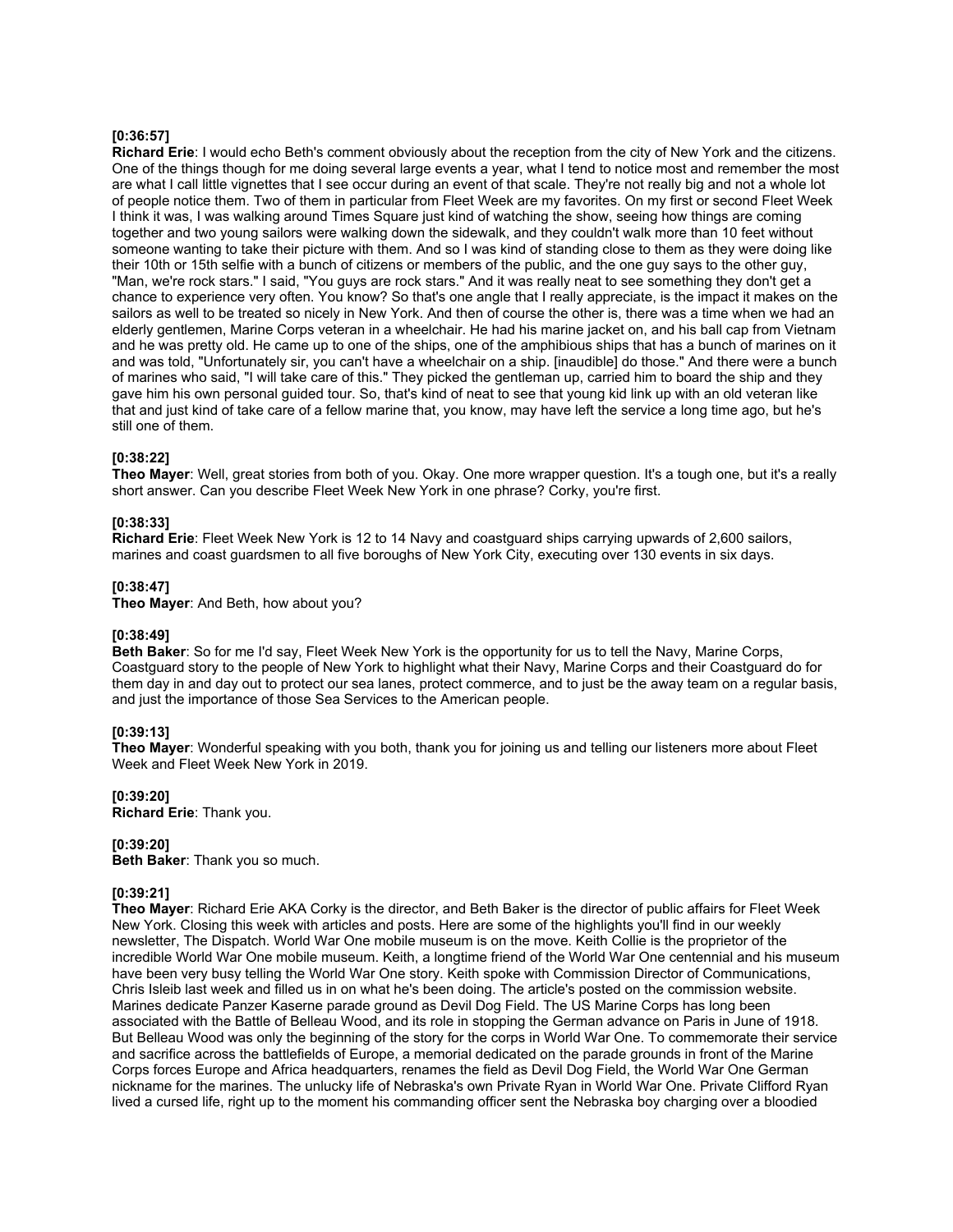### **[0:36:57]**

**Richard Erie**: I would echo Beth's comment obviously about the reception from the city of New York and the citizens. One of the things though for me doing several large events a year, what I tend to notice most and remember the most are what I call little vignettes that I see occur during an event of that scale. They're not really big and not a whole lot of people notice them. Two of them in particular from Fleet Week are my favorites. On my first or second Fleet Week I think it was, I was walking around Times Square just kind of watching the show, seeing how things are coming together and two young sailors were walking down the sidewalk, and they couldn't walk more than 10 feet without someone wanting to take their picture with them. And so I was kind of standing close to them as they were doing like their 10th or 15th selfie with a bunch of citizens or members of the public, and the one guy says to the other guy, "Man, we're rock stars." I said, "You guys are rock stars." And it was really neat to see something they don't get a chance to experience very often. You know? So that's one angle that I really appreciate, is the impact it makes on the sailors as well to be treated so nicely in New York. And then of course the other is, there was a time when we had an elderly gentlemen, Marine Corps veteran in a wheelchair. He had his marine jacket on, and his ball cap from Vietnam and he was pretty old. He came up to one of the ships, one of the amphibious ships that has a bunch of marines on it and was told, "Unfortunately sir, you can't have a wheelchair on a ship. [inaudible] do those." And there were a bunch of marines who said, "I will take care of this." They picked the gentleman up, carried him to board the ship and they gave him his own personal guided tour. So, that's kind of neat to see that young kid link up with an old veteran like that and just kind of take care of a fellow marine that, you know, may have left the service a long time ago, but he's still one of them.

### **[0:38:22]**

**Theo Mayer**: Well, great stories from both of you. Okay. One more wrapper question. It's a tough one, but it's a really short answer. Can you describe Fleet Week New York in one phrase? Corky, you're first.

### **[0:38:33]**

**Richard Erie**: Fleet Week New York is 12 to 14 Navy and coastguard ships carrying upwards of 2,600 sailors, marines and coast guardsmen to all five boroughs of New York City, executing over 130 events in six days.

### **[0:38:47]**

**Theo Mayer**: And Beth, how about you?

### **[0:38:49]**

**Beth Baker**: So for me I'd say, Fleet Week New York is the opportunity for us to tell the Navy, Marine Corps, Coastguard story to the people of New York to highlight what their Navy, Marine Corps and their Coastguard do for them day in and day out to protect our sea lanes, protect commerce, and to just be the away team on a regular basis, and just the importance of those Sea Services to the American people.

# **[0:39:13]**

**Theo Mayer**: Wonderful speaking with you both, thank you for joining us and telling our listeners more about Fleet Week and Fleet Week New York in 2019.

### **[0:39:20]**

**Richard Erie**: Thank you.

### **[0:39:20]**

**Beth Baker**: Thank you so much.

### **[0:39:21]**

**Theo Mayer**: Richard Erie AKA Corky is the director, and Beth Baker is the director of public affairs for Fleet Week New York. Closing this week with articles and posts. Here are some of the highlights you'll find in our weekly newsletter, The Dispatch. World War One mobile museum is on the move. Keith Collie is the proprietor of the incredible World War One mobile museum. Keith, a longtime friend of the World War One centennial and his museum have been very busy telling the World War One story. Keith spoke with Commission Director of Communications, Chris Isleib last week and filled us in on what he's been doing. The article's posted on the commission website. Marines dedicate Panzer Kaserne parade ground as Devil Dog Field. The US Marine Corps has long been associated with the Battle of Belleau Wood, and its role in stopping the German advance on Paris in June of 1918. But Belleau Wood was only the beginning of the story for the corps in World War One. To commemorate their service and sacrifice across the battlefields of Europe, a memorial dedicated on the parade grounds in front of the Marine Corps forces Europe and Africa headquarters, renames the field as Devil Dog Field, the World War One German nickname for the marines. The unlucky life of Nebraska's own Private Ryan in World War One. Private Clifford Ryan lived a cursed life, right up to the moment his commanding officer sent the Nebraska boy charging over a bloodied